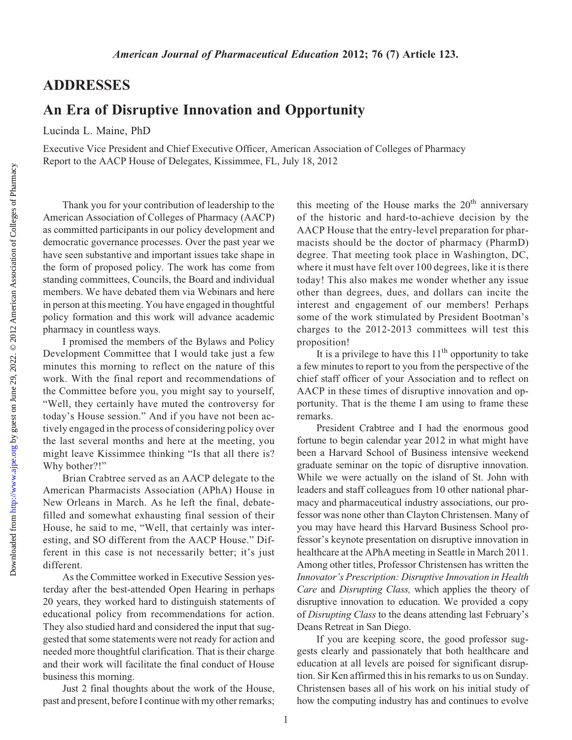Downloaded from

## ADDRESSES

## An Era of Disruptive Innovation and Opportunity

Lucinda L. Maine, PhD

Executive Vice President and Chief Executive Officer, American Association of Colleges of Pharmacy Report to the AACP House of Delegates, Kissimmee, FL, July 18, 2012

Thank you for your contribution of leadership to the American Association of Colleges of Pharmacy (AACP) as committed participants in our policy development and democratic governance processes. Over the past year we have seen substantive and important issues take shape in the form of proposed policy. The work has come from standing committees, Councils, the Board and individual members. We have debated them via Webinars and here in person at this meeting. You have engaged in thoughtful policy formation and this work will advance academic pharmacy in countless ways.

I promised the members of the Bylaws and Policy Development Committee that I would take just a few minutes this morning to reflect on the nature of this work. With the final report and recommendations of the Committee before you, you might say to yourself, "Well, they certainly have muted the controversy for today's House session." And if you have not been actively engaged in the process of considering policy over the last several months and here at the meeting, you might leave Kissimmee thinking "Is that all there is? Why bother?!"

Brian Crabtree served as an AACP delegate to the American Pharmacists Association (APhA) House in New Orleans in March. As he left the final, debatefilled and somewhat exhausting final session of their House, he said to me, "Well, that certainly was interesting, and SO different from the AACP House." Different in this case is not necessarily better; it's just different.

As the Committee worked in Executive Session yesterday after the best-attended Open Hearing in perhaps 20 years, they worked hard to distinguish statements of educational policy from recommendations for action. They also studied hard and considered the input that suggested that some statements were not ready for action and needed more thoughtful clarification. That is their charge and their work will facilitate the final conduct of House business this morning.

Just 2 final thoughts about the work of the House, past and present, before I continue with my other remarks;

this meeting of the House marks the  $20<sup>th</sup>$  anniversary of the historic and hard-to-achieve decision by the AACP House that the entry-level preparation for pharmacists should be the doctor of pharmacy (PharmD) degree. That meeting took place in Washington, DC, where it must have felt over 100 degrees, like it is there today! This also makes me wonder whether any issue other than degrees, dues, and dollars can incite the interest and engagement of our members! Perhaps some of the work stimulated by President Bootman's charges to the 2012-2013 committees will test this proposition!

It is a privilege to have this  $11<sup>th</sup>$  opportunity to take a few minutes to report to you from the perspective of the chief staff officer of your Association and to reflect on AACP in these times of disruptive innovation and opportunity. That is the theme I am using to frame these remarks.

President Crabtree and I had the enormous good fortune to begin calendar year 2012 in what might have been a Harvard School of Business intensive weekend graduate seminar on the topic of disruptive innovation. While we were actually on the island of St. John with leaders and staff colleagues from 10 other national pharmacy and pharmaceutical industry associations, our professor was none other than Clayton Christensen. Many of you may have heard this Harvard Business School professor's keynote presentation on disruptive innovation in healthcare at the APhA meeting in Seattle in March 2011. Among other titles, Professor Christensen has written the Internet Bertakopen Entrepresentation in France<br>Care and Disrupting Class, which applies the theory of<br>disruptive innovation to education. We provided a conv disruptive innovation to education. We provided a copy of Disrupting Class to the deans attending last February's Deans Retreat in San Diego.

If you are keeping score, the good professor suggests clearly and passionately that both healthcare and education at all levels are poised for significant disruption. Sir Ken affirmed this in his remarks to us on Sunday. Christensen bases all of his work on his initial study of how the computing industry has and continues to evolve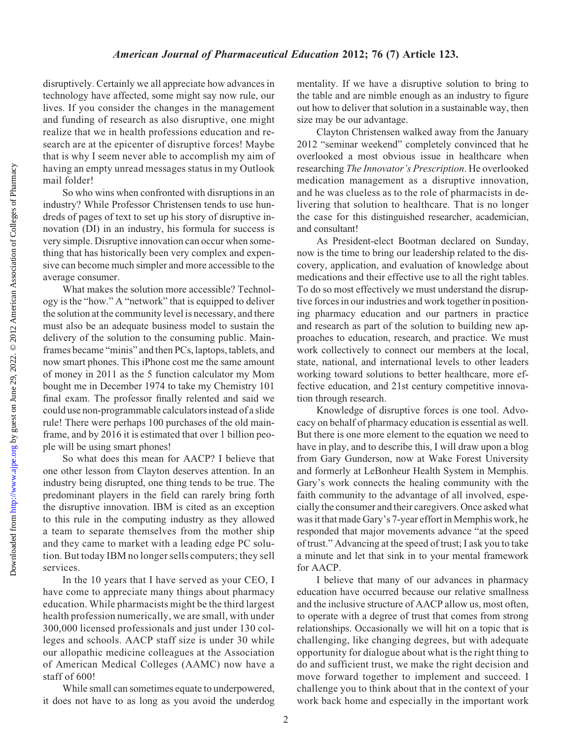Downloaded from

disruptively. Certainly we all appreciate how advances in technology have affected, some might say now rule, our lives. If you consider the changes in the management and funding of research as also disruptive, one might realize that we in health professions education and research are at the epicenter of disruptive forces! Maybe that is why I seem never able to accomplish my aim of having an empty unread messages status in my Outlook mail folder!

So who wins when confronted with disruptions in an industry? While Professor Christensen tends to use hundreds of pages of text to set up his story of disruptive innovation (DI) in an industry, his formula for success is very simple. Disruptive innovation can occur when something that has historically been very complex and expensive can become much simpler and more accessible to the average consumer.

What makes the solution more accessible? Technology is the "how." A "network" that is equipped to deliver the solution at the community level is necessary, and there must also be an adequate business model to sustain the delivery of the solution to the consuming public. Mainframes became "minis" and then PCs, laptops, tablets, and now smart phones. This iPhone cost me the same amount of money in 2011 as the 5 function calculator my Mom bought me in December 1974 to take my Chemistry 101 final exam. The professor finally relented and said we could use non-programmable calculators instead of a slide rule! There were perhaps 100 purchases of the old mainframe, and by 2016 it is estimated that over 1 billion people will be using smart phones!

So what does this mean for AACP? I believe that one other lesson from Clayton deserves attention. In an industry being disrupted, one thing tends to be true. The predominant players in the field can rarely bring forth the disruptive innovation. IBM is cited as an exception to this rule in the computing industry as they allowed a team to separate themselves from the mother ship and they came to market with a leading edge PC solution. But today IBM no longer sells computers; they sell services.

In the 10 years that I have served as your CEO, I have come to appreciate many things about pharmacy education. While pharmacists might be the third largest health profession numerically, we are small, with under 300,000 licensed professionals and just under 130 colleges and schools. AACP staff size is under 30 while our allopathic medicine colleagues at the Association of American Medical Colleges (AAMC) now have a staff of 600!

While small can sometimes equate to underpowered, it does not have to as long as you avoid the underdog mentality. If we have a disruptive solution to bring to the table and are nimble enough as an industry to figure out how to deliver that solution in a sustainable way, then size may be our advantage.

Clayton Christensen walked away from the January 2012 "seminar weekend" completely convinced that he overlooked a most obvious issue in healthcare when researching The Innovator's Prescription. He overlooked medication management as a disruptive innovation, and he was clueless as to the role of pharmacists in delivering that solution to healthcare. That is no longer the case for this distinguished researcher, academician, and consultant!

As President-elect Bootman declared on Sunday, now is the time to bring our leadership related to the discovery, application, and evaluation of knowledge about medications and their effective use to all the right tables. To do so most effectively we must understand the disruptive forces in our industries and work together in positioning pharmacy education and our partners in practice and research as part of the solution to building new approaches to education, research, and practice. We must work collectively to connect our members at the local, state, national, and international levels to other leaders working toward solutions to better healthcare, more effective education, and 21st century competitive innovation through research.

Knowledge of disruptive forces is one tool. Advocacy on behalf of pharmacy education is essential as well. But there is one more element to the equation we need to have in play, and to describe this, I will draw upon a blog from Gary Gunderson, now at Wake Forest University and formerly at LeBonheur Health System in Memphis. Gary's work connects the healing community with the faith community to the advantage of all involved, especially the consumer and their caregivers. Once asked what was it that made Gary's 7-year effort in Memphis work, he responded that major movements advance "at the speed of trust." Advancing at the speed of trust; I ask you to take a minute and let that sink in to your mental framework for AACP.

I believe that many of our advances in pharmacy education have occurred because our relative smallness and the inclusive structure of AACP allow us, most often, to operate with a degree of trust that comes from strong relationships. Occasionally we will hit on a topic that is challenging, like changing degrees, but with adequate opportunity for dialogue about what is the right thing to do and sufficient trust, we make the right decision and move forward together to implement and succeed. I challenge you to think about that in the context of your work back home and especially in the important work